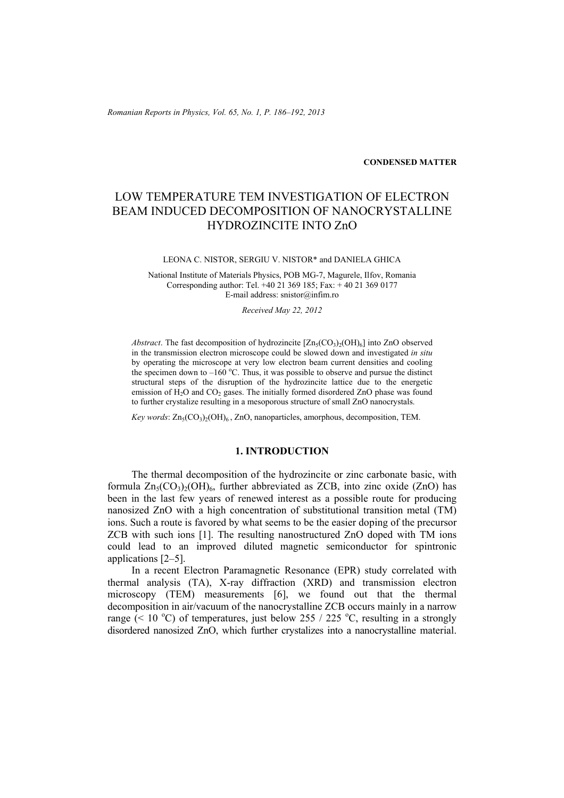*Romanian Reports in Physics, Vol. 65, No. 1, P. 186–192, 2013*

**CONDENSED MATTER**

# LOW TEMPERATURE TEM INVESTIGATION OF ELECTRON BEAM INDUCED DECOMPOSITION OF NANOCRYSTALLINE HYDROZINCITE INTO ZnO

#### LEONA C. NISTOR, SERGIU V. NISTOR\* and DANIELA GHICA

National Institute of Materials Physics, POB MG-7, Magurele, Ilfov, Romania Corresponding author: Tel. +40 21 369 185; Fax: + 40 21 369 0177 E-mail address: snistor@infim.ro

*Received May 22, 2012* 

*Abstract*. The fast decomposition of hydrozincite  $[Zn_5(CO_3)_2(OH)_6]$  into ZnO observed in the transmission electron microscope could be slowed down and investigated *in situ*  by operating the microscope at very low electron beam current densities and cooling the specimen down to  $-160^{\circ}$ C. Thus, it was possible to observe and pursue the distinct structural steps of the disruption of the hydrozincite lattice due to the energetic emission of  $H_2O$  and  $CO_2$  gases. The initially formed disordered ZnO phase was found to further crystalize resulting in a mesoporous structure of small ZnO nanocrystals.

*Key words*: Zn<sub>5</sub>(CO<sub>3</sub>)<sub>2</sub>(OH)<sub>6</sub>, ZnO, nanoparticles, amorphous, decomposition, TEM.

# **1. INTRODUCTION**

The thermal decomposition of the hydrozincite or zinc carbonate basic, with formula  $Zn_5(CO_3)_{2}(OH)_{6}$ , further abbreviated as ZCB, into zinc oxide (ZnO) has been in the last few years of renewed interest as a possible route for producing nanosized ZnO with a high concentration of substitutional transition metal (TM) ions. Such a route is favored by what seems to be the easier doping of the precursor ZCB with such ions [1]. The resulting nanostructured ZnO doped with TM ions could lead to an improved diluted magnetic semiconductor for spintronic applications [2–5].

In a recent Electron Paramagnetic Resonance (EPR) study correlated with thermal analysis (TA), X-ray diffraction (XRD) and transmission electron microscopy (TEM) measurements [6], we found out that the thermal decomposition in air/vacuum of the nanocrystalline ZCB occurs mainly in a narrow range (< 10 °C) of temperatures, just below 255 / 225 °C, resulting in a strongly disordered nanosized ZnO, which further crystalizes into a nanocrystalline material.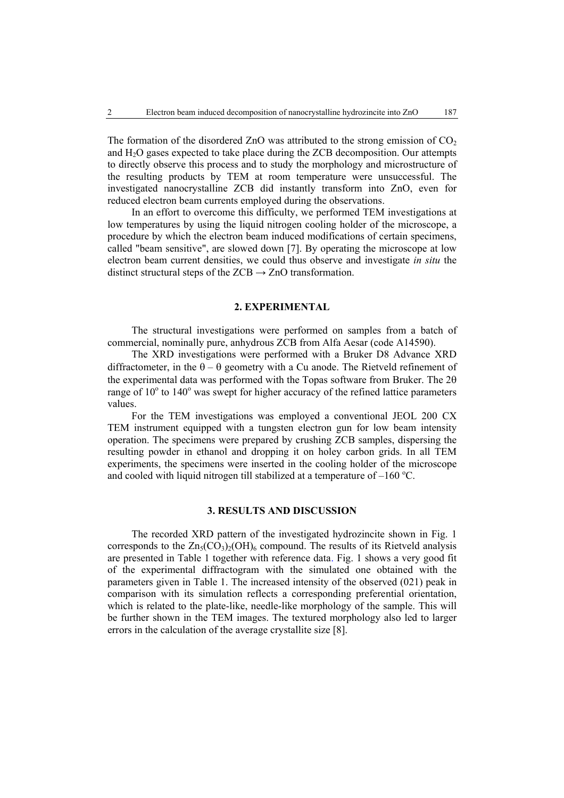The formation of the disordered ZnO was attributed to the strong emission of  $CO<sub>2</sub>$ and  $H_2O$  gases expected to take place during the ZCB decomposition. Our attempts to directly observe this process and to study the morphology and microstructure of the resulting products by TEM at room temperature were unsuccessful. The investigated nanocrystalline ZCB did instantly transform into ZnO, even for reduced electron beam currents employed during the observations.

In an effort to overcome this difficulty, we performed TEM investigations at low temperatures by using the liquid nitrogen cooling holder of the microscope, a procedure by which the electron beam induced modifications of certain specimens, called "beam sensitive", are slowed down [7]. By operating the microscope at low electron beam current densities, we could thus observe and investigate *in situ* the distinct structural steps of the  $ZCB \rightarrow ZnO$  transformation.

# **2. EXPERIMENTAL**

The structural investigations were performed on samples from a batch of commercial, nominally pure, anhydrous ZCB from Alfa Aesar (code A14590).

The XRD investigations were performed with a Bruker D8 Advance XRD diffractometer, in the  $\theta - \theta$  geometry with a Cu anode. The Rietveld refinement of the experimental data was performed with the Topas software from Bruker. The 2θ range of  $10^{\circ}$  to  $140^{\circ}$  was swept for higher accuracy of the refined lattice parameters values.

For the TEM investigations was employed a conventional JEOL 200 CX TEM instrument equipped with a tungsten electron gun for low beam intensity operation. The specimens were prepared by crushing ZCB samples, dispersing the resulting powder in ethanol and dropping it on holey carbon grids. In all TEM experiments, the specimens were inserted in the cooling holder of the microscope and cooled with liquid nitrogen till stabilized at a temperature of  $-160^{\circ}$ C.

### **3. RESULTS AND DISCUSSION**

The recorded XRD pattern of the investigated hydrozincite shown in Fig. 1 corresponds to the  $Zn_5(CO_3)_2(OH)_6$  compound. The results of its Rietveld analysis are presented in Table 1 together with reference data. Fig. 1 shows a very good fit of the experimental diffractogram with the simulated one obtained with the parameters given in Table 1. The increased intensity of the observed (021) peak in comparison with its simulation reflects a corresponding preferential orientation, which is related to the plate-like, needle-like morphology of the sample. This will be further shown in the TEM images. The textured morphology also led to larger errors in the calculation of the average crystallite size [8].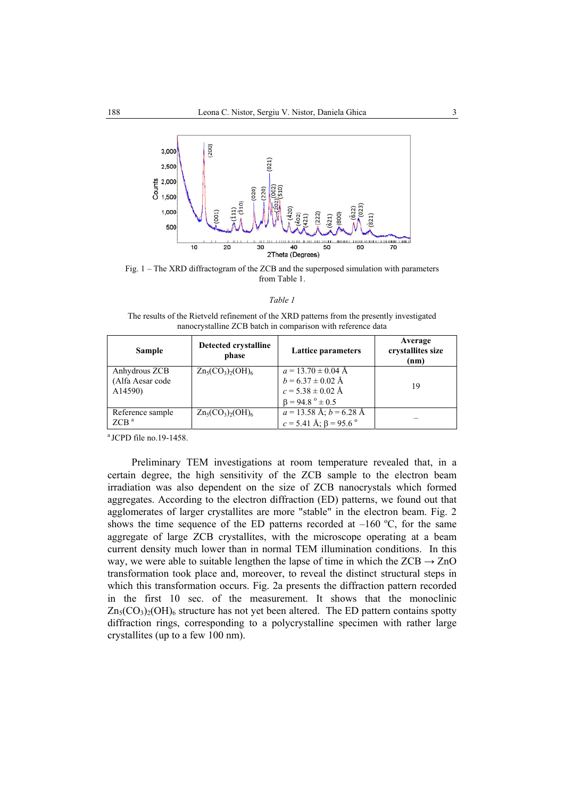

Fig. 1 – The XRD diffractogram of the ZCB and the superposed simulation with parameters from Table 1.

The results of the Rietveld refinement of the XRD patterns from the presently investigated nanocrystalline ZCB batch in comparison with reference data

| Sample                                       | Detected crystalline<br>phase      | Lattice parameters                                                                                     | Average<br>crystallites size<br>(nm) |
|----------------------------------------------|------------------------------------|--------------------------------------------------------------------------------------------------------|--------------------------------------|
| Anhydrous ZCB<br>(Alfa Aesar code<br>A14590) | $Zn_5(CO_3)_2(OH)_6$               | $a = 13.70 \pm 0.04$ Å<br>$b = 6.37 \pm 0.02$ Å<br>$c = 5.38 \pm 0.02$ Å<br>$\beta = 94.8$ ° $\pm$ 0.5 | 19                                   |
| Reference sample<br>ZCB <sup>a</sup>         | $Zn_5(CO_3)$ <sub>2</sub> $(OH)_6$ | $a = 13.58$ Å; $b = 6.28$ Å<br>$c = 5.41$ Å; $\beta = 95.6$ °                                          |                                      |

a JCPD file no.19-1458.

Preliminary TEM investigations at room temperature revealed that, in a certain degree, the high sensitivity of the ZCB sample to the electron beam irradiation was also dependent on the size of ZCB nanocrystals which formed aggregates. According to the electron diffraction (ED) patterns, we found out that agglomerates of larger crystallites are more "stable" in the electron beam. Fig. 2 shows the time sequence of the ED patterns recorded at  $-160^{\circ}$ C, for the same aggregate of large ZCB crystallites, with the microscope operating at a beam current density much lower than in normal TEM illumination conditions. In this way, we were able to suitable lengthen the lapse of time in which the  $ZCB \rightarrow ZnO$ transformation took place and, moreover, to reveal the distinct structural steps in which this transformation occurs. Fig. 2a presents the diffraction pattern recorded in the first 10 sec. of the measurement. It shows that the monoclinic  $Zn_5(CO_3)_2(OH)_6$  structure has not yet been altered. The ED pattern contains spotty diffraction rings, corresponding to a polycrystalline specimen with rather large crystallites (up to a few 100 nm).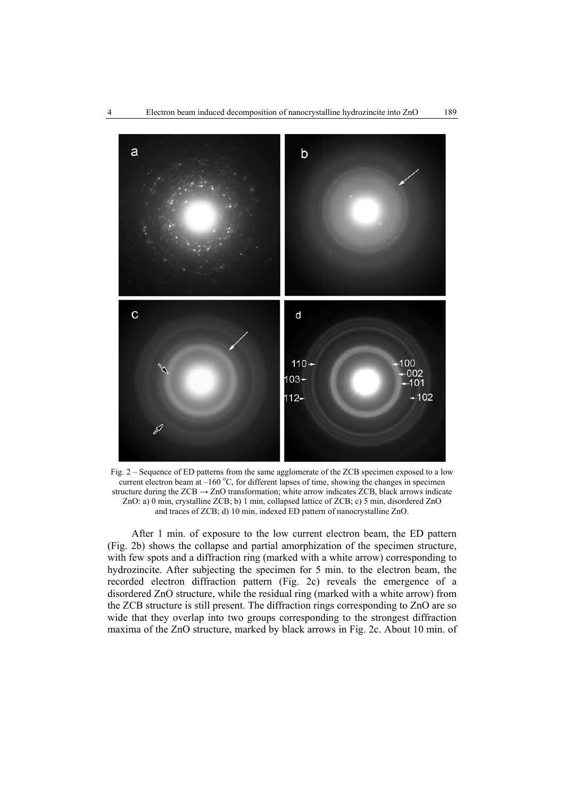

Fig. 2 – Sequence of ED patterns from the same agglomerate of the ZCB specimen exposed to a low current electron beam at  $-160^{\circ}$ C, for different lapses of time, showing the changes in specimen structure during the  $ZCB \rightarrow ZnO$  transformation; white arrow indicates  $ZCB$ , black arrows indicate ZnO: a) 0 min, crystalline ZCB; b) 1 min, collapsed lattice of ZCB; c) 5 min, disordered ZnO and traces of ZCB; d) 10 min, indexed ED pattern of nanocrystalline ZnO.

After 1 min. of exposure to the low current electron beam, the ED pattern (Fig. 2b) shows the collapse and partial amorphization of the specimen structure, with few spots and a diffraction ring (marked with a white arrow) corresponding to hydrozincite. After subjecting the specimen for 5 min. to the electron beam, the recorded electron diffraction pattern (Fig. 2c) reveals the emergence of a disordered ZnO structure, while the residual ring (marked with a white arrow) from the ZCB structure is still present. The diffraction rings corresponding to ZnO are so wide that they overlap into two groups corresponding to the strongest diffraction maxima of the ZnO structure, marked by black arrows in Fig. 2c. About 10 min. of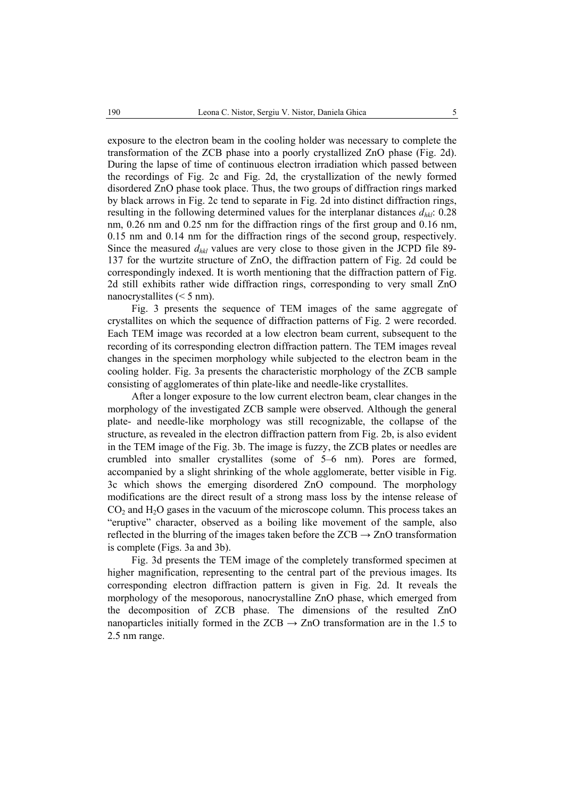exposure to the electron beam in the cooling holder was necessary to complete the transformation of the ZCB phase into a poorly crystallized ZnO phase (Fig. 2d). During the lapse of time of continuous electron irradiation which passed between the recordings of Fig. 2c and Fig. 2d, the crystallization of the newly formed disordered ZnO phase took place. Thus, the two groups of diffraction rings marked by black arrows in Fig. 2c tend to separate in Fig. 2d into distinct diffraction rings, resulting in the following determined values for the interplanar distances  $d_{hkl}$ : 0.28 nm, 0.26 nm and 0.25 nm for the diffraction rings of the first group and 0.16 nm, 0.15 nm and 0.14 nm for the diffraction rings of the second group, respectively. Since the measured *dhkl* values are very close to those given in the JCPD file 89- 137 for the wurtzite structure of ZnO, the diffraction pattern of Fig. 2d could be correspondingly indexed. It is worth mentioning that the diffraction pattern of Fig. 2d still exhibits rather wide diffraction rings, corresponding to very small ZnO nanocrystallites  $(< 5$  nm).

Fig. 3 presents the sequence of TEM images of the same aggregate of crystallites on which the sequence of diffraction patterns of Fig. 2 were recorded. Each TEM image was recorded at a low electron beam current, subsequent to the recording of its corresponding electron diffraction pattern. The TEM images reveal changes in the specimen morphology while subjected to the electron beam in the cooling holder. Fig. 3a presents the characteristic morphology of the ZCB sample consisting of agglomerates of thin plate-like and needle-like crystallites.

After a longer exposure to the low current electron beam, clear changes in the morphology of the investigated ZCB sample were observed. Although the general plate- and needle-like morphology was still recognizable, the collapse of the structure, as revealed in the electron diffraction pattern from Fig. 2b, is also evident in the TEM image of the Fig. 3b. The image is fuzzy, the ZCB plates or needles are crumbled into smaller crystallites (some of 5–6 nm). Pores are formed, accompanied by a slight shrinking of the whole agglomerate, better visible in Fig. 3c which shows the emerging disordered ZnO compound. The morphology modifications are the direct result of a strong mass loss by the intense release of  $CO<sub>2</sub>$  and  $H<sub>2</sub>O$  gases in the vacuum of the microscope column. This process takes an "eruptive" character, observed as a boiling like movement of the sample, also reflected in the blurring of the images taken before the  $ZCB \rightarrow ZnO$  transformation is complete (Figs. 3a and 3b).

Fig. 3d presents the TEM image of the completely transformed specimen at higher magnification, representing to the central part of the previous images. Its corresponding electron diffraction pattern is given in Fig. 2d. It reveals the morphology of the mesoporous, nanocrystalline ZnO phase, which emerged from the decomposition of ZCB phase. The dimensions of the resulted ZnO nanoparticles initially formed in the  $ZCB \rightarrow ZnO$  transformation are in the 1.5 to 2.5 nm range.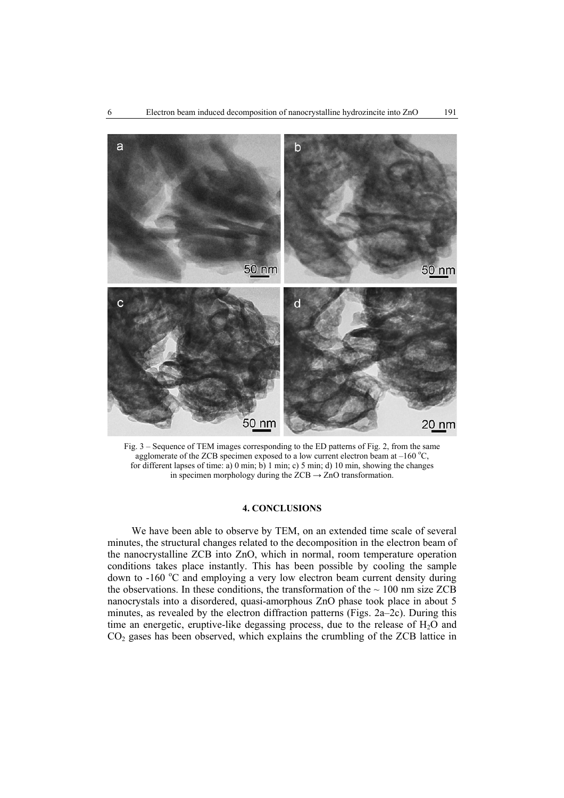

Fig. 3 – Sequence of TEM images corresponding to the ED patterns of Fig. 2, from the same agglomerate of the ZCB specimen exposed to a low current electron beam at  $-160^{\circ}$ C, for different lapses of time: a) 0 min; b) 1 min; c) 5 min; d) 10 min, showing the changes in specimen morphology during the  $ZCB \rightarrow ZnO$  transformation.

## **4. CONCLUSIONS**

We have been able to observe by TEM, on an extended time scale of several minutes, the structural changes related to the decomposition in the electron beam of the nanocrystalline ZCB into ZnO, which in normal, room temperature operation conditions takes place instantly. This has been possible by cooling the sample down to -160 °C and employing a very low electron beam current density during the observations. In these conditions, the transformation of the  $\sim 100$  nm size ZCB nanocrystals into a disordered, quasi-amorphous ZnO phase took place in about 5 minutes, as revealed by the electron diffraction patterns (Figs. 2a–2c). During this time an energetic, eruptive-like degassing process, due to the release of  $H<sub>2</sub>O$  and CO2 gases has been observed, which explains the crumbling of the ZCB lattice in